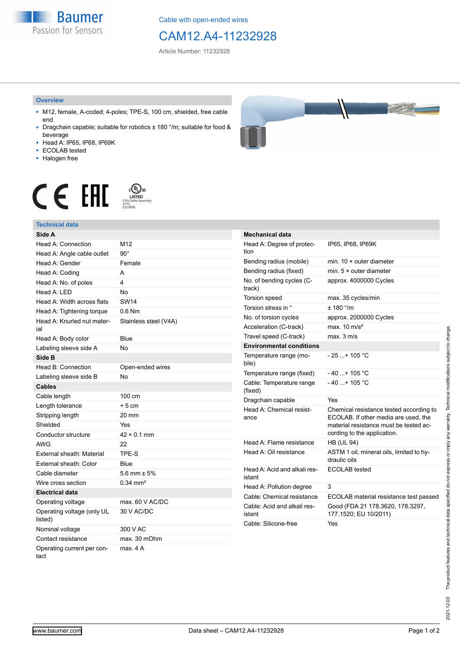**Baumer** Passion for Sensors

Cable with open-ended wires

# CAM12.A4-11232928

Article Number: 11232928

#### **Overview**

- M12, female, A-coded; 4-poles; TPE-S, 100 cm, shielded, free cable end
- Dragchain capable; suitable for robotics ± 180 °/m; suitable for food & beverage
- Head A: IP65, IP68, IP69K
- ECOLAB tested
- Halogen free



# $\displaystyle \mathop{\mathsf{C}}\limits_{\substack{\mathsf{C} \text{YJV Cable Asser}\ \text{47YY} \ \text{47YY}}} \mathop{\mathsf{LISTED}}\limits_{\substack{\mathsf{C} \text{47YY} \ \text{E}315836}}$ CE EAL

## **Technical data**

| Side A                                |                       |
|---------------------------------------|-----------------------|
| Head A: Connection                    | M <sub>12</sub>       |
| Head A: Angle cable outlet            | $90^\circ$            |
| Head A: Gender                        | Female                |
| Head A: Coding                        | A                     |
| Head A: No. of poles                  | 4                     |
| Head A: LED                           | No                    |
| Head A: Width across flats            | <b>SW14</b>           |
| Head A: Tightening torque             | $0.6$ Nm              |
| Head A: Knurled nut mater-<br>ial     | Stainless steel (V4A) |
| Head A: Body color                    | Blue                  |
| Labeling sleeve side A                | No                    |
| Side B                                |                       |
| Head B: Connection                    | Open-ended wires      |
| Labeling sleeve side B                | No                    |
| <b>Cables</b>                         |                       |
| Cable length                          | 100 cm                |
| Length tolerance                      | $+5cm$                |
| Stripping length                      | 20 mm                 |
| Shielded                              | Yes                   |
| Conductor structure                   | $42 \times 0.1$ mm    |
| AWG                                   | 22                    |
| External sheath: Material             | TPE-S                 |
| External sheath: Color                | Blue                  |
| Cable diameter                        | 5.6 mm $\pm$ 5%       |
| Wire cross section                    | $0.34 \, \text{mm}^2$ |
| <b>Electrical data</b>                |                       |
| Operating voltage                     | max. 60 V AC/DC       |
| Operating voltage (only UL<br>listed) | 30 V AC/DC            |
| Nominal voltage                       | 300 V AC              |
| Contact resistance                    | max. 30 mOhm          |
| Operating current per con-<br>tact    | max. 4 A              |

| <b>Mechanical data</b>                 |                                                                                                                                                          |
|----------------------------------------|----------------------------------------------------------------------------------------------------------------------------------------------------------|
| Head A: Degree of protec-<br>tion      | IP65, IP68, IP69K                                                                                                                                        |
| Bending radius (mobile)                | min. 10 × outer diameter                                                                                                                                 |
| Bending radius (fixed)                 | min. $5 \times$ outer diameter                                                                                                                           |
| No. of bending cycles (C-<br>track)    | approx. 4000000 Cycles                                                                                                                                   |
| <b>Torsion speed</b>                   | max. 35 cycles/min                                                                                                                                       |
| Torsion stress in °                    | $+ 180$ $^{\circ}$ /m                                                                                                                                    |
| No. of torsion cycles                  | approx. 2000000 Cycles                                                                                                                                   |
| Acceleration (C-track)                 | max $10 \text{ m/s}^2$                                                                                                                                   |
| Travel speed (C-track)                 | max. 3 m/s                                                                                                                                               |
| <b>Environmental conditions</b>        |                                                                                                                                                          |
| Temperature range (mo-<br>bile)        | - 25 + 105 °C                                                                                                                                            |
| Temperature range (fixed)              | - 40 + 105 °C                                                                                                                                            |
| Cable: Temperature range<br>(fixed)    | $-40+105$ °C                                                                                                                                             |
| Dragchain capable                      | Yes                                                                                                                                                      |
| Head A: Chemical resist-<br>ance       | Chemical resistance tested according to<br>ECOLAB. If other media are used, the<br>material resistance must be tested ac-<br>cording to the application. |
| Head A: Flame resistance               | <b>HB (UL 94)</b>                                                                                                                                        |
| Head A: Oil resistance                 | ASTM 1 oil, mineral oils, limited to hy-<br>draulic oils                                                                                                 |
| Head A: Acid and alkali res-<br>istant | <b>ECOLAB</b> tested                                                                                                                                     |
| Head A: Pollution degree               | 3                                                                                                                                                        |
| Cable: Chemical resistance             | ECOLAB material resistance test passed                                                                                                                   |
| Cable: Acid and alkali res-<br>istant  | Good (FDA 21 178.3620, 178.3297,<br>177.1520; EU 10/2011)                                                                                                |
| Cable: Silicone-free                   | Yes                                                                                                                                                      |